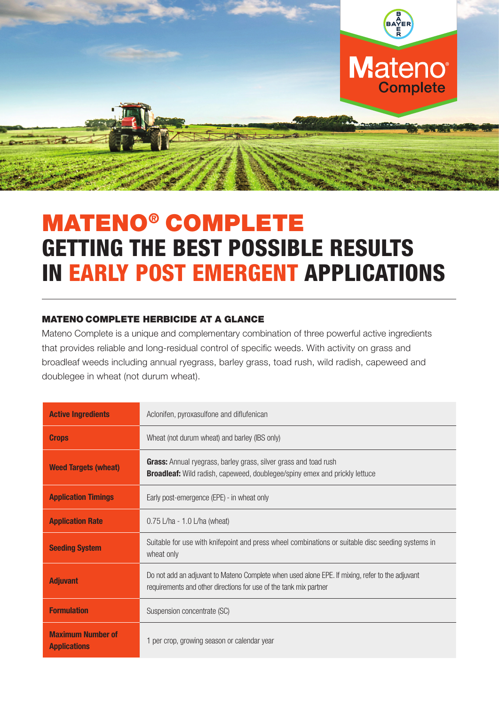

# MATENO® COMPLETE GETTING THE BEST POSSIBLE RESULTS IN EARLY POST EMERGENT APPLICATIONS

### MATENO COMPLETE HERBICIDE AT A GLANCE

Mateno Complete is a unique and complementary combination of three powerful active ingredients that provides reliable and long-residual control of specific weeds. With activity on grass and broadleaf weeds including annual ryegrass, barley grass, toad rush, wild radish, capeweed and doublegee in wheat (not durum wheat).

| <b>Active Ingredients</b>                       | Aclonifen, pyroxasulfone and diflufenican                                                                                                                            |
|-------------------------------------------------|----------------------------------------------------------------------------------------------------------------------------------------------------------------------|
| <b>Crops</b>                                    | Wheat (not durum wheat) and barley (IBS only)                                                                                                                        |
| <b>Weed Targets (wheat)</b>                     | Grass: Annual ryegrass, barley grass, silver grass and toad rush<br><b>Broadleaf:</b> Wild radish, capeweed, doublegee/spiny emex and prickly lettuce                |
| <b>Application Timings</b>                      | Early post-emergence (EPE) - in wheat only                                                                                                                           |
| <b>Application Rate</b>                         | 0.75 L/ha - 1.0 L/ha (wheat)                                                                                                                                         |
| <b>Seeding System</b>                           | Suitable for use with knifepoint and press wheel combinations or suitable disc seeding systems in<br>wheat only                                                      |
| <b>Adjuvant</b>                                 | Do not add an adjuvant to Mateno Complete when used alone EPE. If mixing, refer to the adjuvant<br>requirements and other directions for use of the tank mix partner |
| <b>Formulation</b>                              | Suspension concentrate (SC)                                                                                                                                          |
| <b>Maximum Number of</b><br><b>Applications</b> | 1 per crop, growing season or calendar year                                                                                                                          |